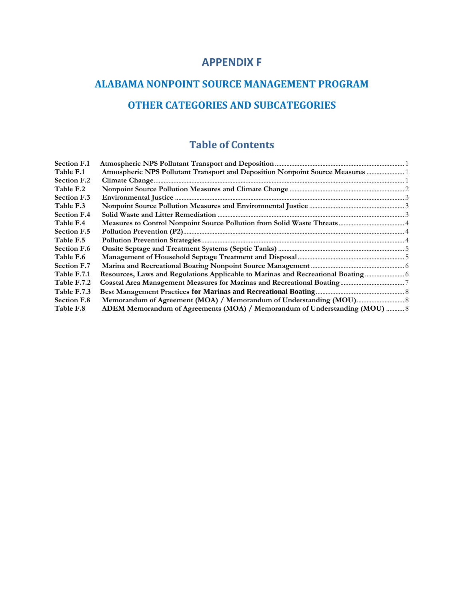## **APPENDIX F**

# **ALABAMA NONPOINT SOURCE MANAGEMENT PROGRAM OTHER CATEGORIES AND SUBCATEGORIES**

# **Table of Contents**

| Atmospheric NPS Pollutant Transport and Deposition Nonpoint Source Measures  1<br>Resources, Laws and Regulations Applicable to Marinas and Recreational Boating<br>ADEM Memorandum of Agreements (MOA) / Memorandum of Understanding (MOU)  8 |
|------------------------------------------------------------------------------------------------------------------------------------------------------------------------------------------------------------------------------------------------|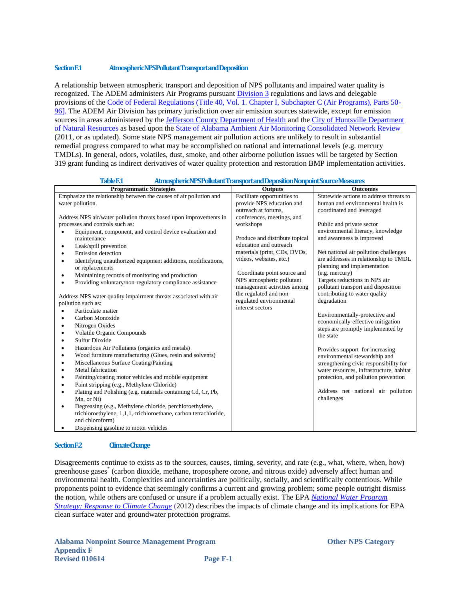### <span id="page-1-0"></span>**Section F.1 Atmospheric NPS Pollutant Transport and Deposition**

A relationship between atmospheric transport and deposition of NPS pollutants and impaired water quality is recognized. The ADEM administers Air Programs pursuant [Division 3](http://www.adem.state.al.us/alEnviroRegLaws/files/Division3.pdf) regulations and laws and delegable provisions of the [Code of Federal Regulations](http://www.ecfr.gov/cgi-bin/text-idx?c=ecfr&tpl=%2Findex.tpl) [\(Title 40, Vol. 1. Chapter I, Subchapter C \(Air Programs\), Parts 50-](http://www.ecfr.gov/cgi-bin/text-idx?sid=1088b1900415432fafb02c154ab360a7&c=ecfr&tpl=/ecfrbrowse/Title40/40tab_02.tpl) [96\]](http://www.ecfr.gov/cgi-bin/text-idx?sid=1088b1900415432fafb02c154ab360a7&c=ecfr&tpl=/ecfrbrowse/Title40/40tab_02.tpl). The ADEM Air Division has primary jurisdiction over air emission sources statewide, except for emission sources in areas administered by the [Jefferson County Department of Health](http://www.jcdh.org/EH/AnR/AnR06.aspx) and the City of Huntsville Department [of Natural Resources](http://www.hsvcity.com/NatRes/program.php) as based upon the [State of Alabama Ambient Air Monitoring](http://www.adem.state.al.us/programs/air/airquality/2011AmbientAirPlan.pdf) Consolidated Network Review (2011, or as updated). Some state NPS management air pollution actions are unlikely to result in substantial remedial progress compared to what may be accomplished on national and international levels (e.g. mercury TMDLs). In general, odors, volatiles, dust, smoke, and other airborne pollution issues will be targeted by Section 319 grant funding as indirect derivatives of water quality protection and restoration BMP implementation activities.

<span id="page-1-1"></span>

### <span id="page-1-2"></span>**Section F.2 Climate Change**

Disagreements continue to exists as to the sources, causes, timing, severity, and rate (e.g., what, where, when, how) greenhouse gases\* (carbon dioxide, methane, troposphere ozone, and nitrous oxide) adversely affect human and environmental health. Complexities and uncertainties are politically, socially, and scientifically contentious. While proponents point to evidence that seemingly confirms a current and growing problem; some people outright dismiss the notion, while others are confused or unsure if a problem actually exist. The EPA *[National Water Program](http://water.epa.gov/scitech/climatechange/2012-National-Water-Program-Strategy.cfm)  [Strategy: Response to Climate Change](http://water.epa.gov/scitech/climatechange/2012-National-Water-Program-Strategy.cfm)* (2012) describes the impacts of climate change and its implications for EPA clean surface water and groundwater protection programs.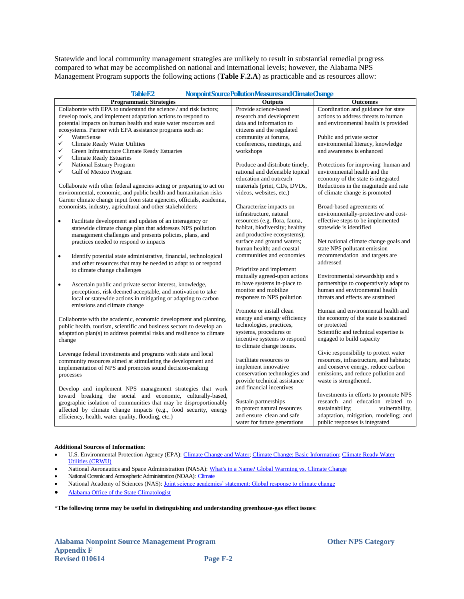Statewide and local community management strategies are unlikely to result in substantial remedial progress compared to what may be accomplished on national and international levels; however, the Alabama NPS Management Program supports the following actions (**Table F.2.A**) as practicable and as resources allow:

<span id="page-2-0"></span>

|           | <b>TableF2</b>                                                                                                                | Nonpoint Source Pollution Measures and Climate Change       |                                                                           |
|-----------|-------------------------------------------------------------------------------------------------------------------------------|-------------------------------------------------------------|---------------------------------------------------------------------------|
|           | <b>Programmatic Strategies</b>                                                                                                | <b>Outputs</b>                                              | <b>Outcomes</b>                                                           |
|           | Collaborate with EPA to understand the science / and risk factors;                                                            | Provide science-based                                       | Coordination and guidance for state                                       |
|           | develop tools, and implement adaptation actions to respond to                                                                 | research and development                                    | actions to address threats to human                                       |
|           | potential impacts on human health and state water resources and                                                               | data and information to                                     | and environmental health is provided                                      |
|           | ecosystems. Partner with EPA assistance programs such as:                                                                     | citizens and the regulated                                  |                                                                           |
| ✓<br>✓    | WaterSense                                                                                                                    | community at forums,                                        | Public and private sector                                                 |
| ✓         | <b>Climate Ready Water Utilities</b>                                                                                          | conferences, meetings, and                                  | environmental literacy, knowledge<br>and awareness is enhanced            |
| ✓         | Green Infrastructure Climate Ready Estuaries<br><b>Climate Ready Estuaries</b>                                                | workshops                                                   |                                                                           |
| ✓         | National Estuary Program                                                                                                      | Produce and distribute timely,                              | Protections for improving human and                                       |
| ✓         | Gulf of Mexico Program                                                                                                        | rational and defensible topical                             | environmental health and the                                              |
|           |                                                                                                                               | education and outreach                                      | economy of the state is integrated                                        |
|           | Collaborate with other federal agencies acting or preparing to act on                                                         | materials (print, CDs, DVDs,                                | Reductions in the magnitude and rate                                      |
|           | environmental, economic, and public health and humanitarian risks                                                             | videos, websites, etc.)                                     | of climate change is promoted                                             |
|           | Garner climate change input from state agencies, officials, academia,                                                         |                                                             |                                                                           |
|           | economists, industry, agricultural and other stakeholders:                                                                    | Characterize impacts on                                     | Broad-based agreements of                                                 |
|           |                                                                                                                               | infrastructure, natural                                     | environmentally-protective and cost-                                      |
| $\bullet$ | Facilitate development and updates of an interagency or                                                                       | resources (e.g. flora, fauna,                               | effective steps to be implemented                                         |
|           | statewide climate change plan that addresses NPS pollution                                                                    | habitat, biodiversity; healthy                              | statewide is identified                                                   |
|           | management challenges and presents policies, plans, and                                                                       | and productive ecosystems);                                 |                                                                           |
|           | practices needed to respond to impacts                                                                                        | surface and ground waters;                                  | Net national climate change goals and                                     |
|           |                                                                                                                               | human health; and coastal                                   | state NPS pollutant emission                                              |
| $\bullet$ | Identify potential state administrative, financial, technological                                                             | communities and economies                                   | recommendation and targets are                                            |
|           | and other resources that may be needed to adapt to or respond                                                                 |                                                             | addressed                                                                 |
|           | to climate change challenges                                                                                                  | Prioritize and implement                                    |                                                                           |
|           |                                                                                                                               | mutually agreed-upon actions<br>to have systems in-place to | Environmental stewardship and s<br>partnerships to cooperatively adapt to |
| $\bullet$ | Ascertain public and private sector interest, knowledge,                                                                      | monitor and mobilize                                        | human and environmental health                                            |
|           | perceptions, risk deemed acceptable, and motivation to take<br>local or statewide actions in mitigating or adapting to carbon | responses to NPS pollution                                  | threats and effects are sustained                                         |
|           | emissions and climate change                                                                                                  |                                                             |                                                                           |
|           |                                                                                                                               | Promote or install clean                                    | Human and environmental health and                                        |
|           | Collaborate with the academic, economic development and planning,                                                             | energy and energy efficiency                                | the economy of the state is sustained                                     |
|           | public health, tourism, scientific and business sectors to develop an                                                         | technologies, practices,                                    | or protected                                                              |
|           | adaptation plan(s) to address potential risks and resilience to climate                                                       | systems, procedures or                                      | Scientific and technical expertise is                                     |
| change    |                                                                                                                               | incentive systems to respond                                | engaged to build capacity                                                 |
|           |                                                                                                                               | to climate change issues.                                   |                                                                           |
|           | Leverage federal investments and programs with state and local                                                                |                                                             | Civic responsibility to protect water                                     |
|           | community resources aimed at stimulating the development and                                                                  | Facilitate resources to                                     | resources, infrastructure, and habitats;                                  |
|           | implementation of NPS and promotes sound decision-making                                                                      | implement innovative                                        | and conserve energy, reduce carbon                                        |
|           | processes                                                                                                                     | conservation technologies and                               | emissions, and reduce pollution and                                       |
|           |                                                                                                                               | provide technical assistance                                | waste is strengthened.                                                    |
|           | Develop and implement NPS management strategies that work                                                                     | and financial incentives                                    | Investments in efforts to promote NPS                                     |
|           | toward breaking the social and economic, culturally-based,                                                                    | Sustain partnerships                                        | research and education related to                                         |
|           | geographic isolation of communities that may be disproportionably                                                             | to protect natural resources                                | sustainability;<br>vulnerability,                                         |
|           | affected by climate change impacts (e.g., food security, energy<br>efficiency, health, water quality, flooding, etc.)         | and ensure clean and safe                                   | adaptation, mitigation, modeling; and                                     |
|           |                                                                                                                               | water for future generations                                | public responses is integrated                                            |
|           |                                                                                                                               |                                                             |                                                                           |

### **Additional Sources of Information**:

- U.S. Environmental Protection Agency (EPA): [Climate Change and Water;](http://water.epa.gov/scitech/climatechange/index.cfm) [Climate Change: Basic Information;](http://www.epa.gov/climatechange/basics/) Climate Ready Water [Utilities \(CRWU\)](http://water.epa.gov/infrastructure/watersecurity/climate/)
- National Aeronautics and Space Administration (NASA): [What's in a Name? Global Warming vs. Climate Change](http://www.nasa.gov/topics/earth/features/climate_by_any_other_name.html)
- National Oceanic and Atmospheric Administration (NOAA): [Climate](http://www.noaa.gov/climate.html)
- National Academy of Sciences (NAS): Joint science academies' statement: Global response to climate change
- [Alabama Office of the State Climatologist](http://nsstc.uah.edu/aosc/)

\***The following terms may be useful in distinguishing and understanding greenhouse-gas effect issues**: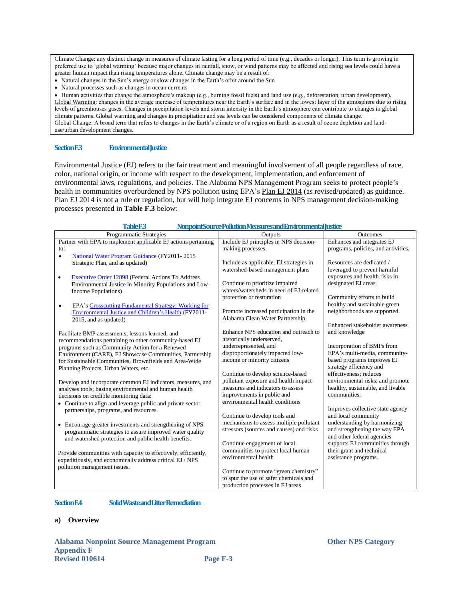Climate Change: any distinct change in measures of climate lasting for a long period of time (e.g., decades or longer). This term is growing in preferred use to "global warming" because major changes in rainfall, snow, or wind patterns may be affected and rising sea levels could have a greater human impact than rising temperatures alone. Climate change may be a result of:

- Natural changes in the Sun's energy or slow changes in the Earth's orbit around the Sun
- Natural processes such as changes in ocean currents

 Human activities that change the atmosphere"s makeup (e.g., burning fossil fuels) and land use (e.g., deforestation, urban development). Global Warming: changes in the average increase of temperatures near the Earth's surface and in the lowest layer of the atmosphere due to rising levels of greenhouses gases. Changes in precipitation levels and storm intensity in the Earth"s atmosphere can contribute to changes in global climate patterns. Global warming and changes in precipitation and sea levels can be considered components of climate change. Global Change: A broad term that refers to changes in the Earth's climate or of a region on Earth as a result of ozone depletion and landuse/urban development changes.

### <span id="page-3-0"></span>**Section F.3 Environmental Justice**

Environmental Justice (EJ) refers to the fair treatment and meaningful involvement of all people regardless of race, color, national origin, or income with respect to the development, implementation, and enforcement of environmental laws, regulations, and policies. The Alabama NPS Management Program seeks to protect people"s health in communities overburdened by NPS pollution using EPA's [Plan EJ 2014](http://www.epa.gov/environmentaljustice/plan-ej/index.html) (as revised/updated) as guidance. Plan EJ 2014 is not a rule or regulation, but will help integrate EJ concerns in NPS management decision-making processes presented in **Table F.3** below:

<span id="page-3-1"></span>

| Programmatic Strategies                                                                                            | Outputs                                  | <b>Outcomes</b>                                 |
|--------------------------------------------------------------------------------------------------------------------|------------------------------------------|-------------------------------------------------|
| Partner with EPA to implement applicable EJ actions pertaining                                                     | Include EJ principles in NPS decision-   | Enhances and integrates EJ                      |
| to:                                                                                                                | making processes.                        | programs, policies, and activities.             |
| National Water Program Guidance (FY2011-2015)<br>$\bullet$                                                         |                                          |                                                 |
| Strategic Plan, and as updated)                                                                                    | Include as applicable, EJ strategies in  | Resources are dedicated /                       |
|                                                                                                                    | watershed-based management plans         | leveraged to prevent harmful                    |
| Executive Order 12898 (Federal Actions To Address<br>$\bullet$                                                     |                                          | exposures and health risks in                   |
| Environmental Justice in Minority Populations and Low-                                                             | Continue to prioritize impaired          | designated EJ areas.                            |
| Income Populations)                                                                                                | waters/watersheds in need of EJ-related  |                                                 |
|                                                                                                                    | protection or restoration                | Community efforts to build                      |
| EPA's Crosscutting Fundamental Strategy: Working for<br>$\bullet$                                                  |                                          | healthy and sustainable green                   |
| Environmental Justice and Children's Health. (FY2011-                                                              | Promote increased participation in the   | neighborhoods are supported.                    |
| 2015, and as updated)                                                                                              | Alabama Clean Water Partnership          |                                                 |
|                                                                                                                    | Enhance NPS education and outreach to    | Enhanced stakeholder awareness<br>and knowledge |
| Facilitate BMP assessments, lessons learned, and                                                                   | historically underserved,                |                                                 |
| recommendations pertaining to other community-based EJ                                                             | underrepresented, and                    | Incorporation of BMPs from                      |
| programs such as Community Action for a Renewed                                                                    | disproportionately impacted low-         | EPA's multi-media, community-                   |
| Environment (CARE), EJ Showcase Communities, Partnership<br>for Sustainable Communities, Brownfields and Area-Wide | income or minority citizens              | based programs improves EJ                      |
| Planning Projects, Urban Waters, etc.                                                                              |                                          | strategy efficiency and                         |
|                                                                                                                    | Continue to develop science-based        | effectiveness: reduces                          |
| Develop and incorporate common EJ indicators, measures, and                                                        | pollutant exposure and health impact     | environmental risks; and promote                |
| analyses tools; basing environmental and human health                                                              | measures and indicators to assess        | healthy, sustainable, and livable               |
| decisions on credible monitoring data:                                                                             | improvements in public and               | communities.                                    |
| • Continue to align and leverage public and private sector                                                         | environmental health conditions          |                                                 |
| partnerships, programs, and resources.                                                                             |                                          | Improves collective state agency                |
|                                                                                                                    | Continue to develop tools and            | and local community                             |
| • Encourage greater investments and strengthening of NPS                                                           | mechanisms to assess multiple pollutant  | understanding by harmonizing                    |
| programmatic strategies to assure improved water quality                                                           | stressors (sources and causes) and risks | and strengthening the way EPA                   |
| and watershed protection and public health benefits.                                                               |                                          | and other federal agencies                      |
|                                                                                                                    | Continue engagement of local             | supports EJ communities through                 |
| Provide communities with capacity to effectively, efficiently,                                                     | communities to protect local human       | their grant and technical                       |
| expeditiously, and economically address critical EJ / NPS                                                          | environmental health                     | assistance programs.                            |
| pollution management issues.                                                                                       |                                          |                                                 |
|                                                                                                                    | Continue to promote "green chemistry"    |                                                 |
|                                                                                                                    | to spur the use of safer chemicals and   |                                                 |
|                                                                                                                    | production processes in EJ areas         |                                                 |

### **Table F.3 Nonpoint Source Pollution Measures and Environmental Justice**

### <span id="page-3-2"></span>**Section F.4 Solid Waste and Litter Remediation**

### **a) Overview**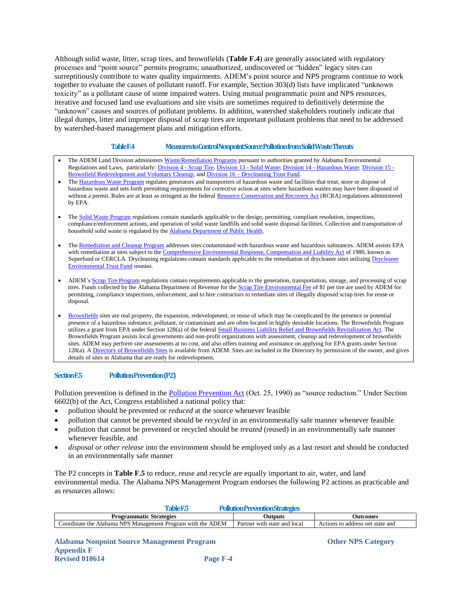Although solid waste, litter, scrap tires, and brownfields (**Table F.4**) are generally associated with regulatory processes and "point source" permits programs; unauthorized, undiscovered or "hidden" legacy sites can surreptitiously contribute to water quality impairments. ADEM's point source and NPS programs continue to work together to evaluate the causes of pollutant runoff. For example, Section 303(d) lists have implicated "unknown toxicity" as a pollutant cause of some impaired waters. Using mutual programmatic point and NPS resources, iterative and focused land use evaluations and site visits are sometimes required to definitively determine the "unknown" causes and sources of pollutant problems. In addition, watershed stakeholders routinely indicate that illegal dumps, litter and improper disposal of scrap tires are important pollutant problems that need to be addressed by watershed-based management plans and mitigation efforts.

### **Table F.4 Measures to Control Nonpoint Source Pollution from Solid Waste Threats**

- <span id="page-4-0"></span>The ADEM Land Division administers [Waste/Remediation Programs](http://www.adem.alabama.gov/programs/land/default.cnt) pursuant to authorities granted by Alabama Environmental Regulations and Laws, particularly[: Division 4 -](http://www.adem.alabama.gov/alEnviroRegLaws/files/Division4.pdf) Scrap Tire[, Division 13 -](http://www.adem.alabama.gov/alEnviroRegLaws/files/Division13.pdf) Solid Waste; Division 14 - [Hazardous Waste;](http://www.adem.alabama.gov/alEnviroRegLaws/files/Division14.pdf) [Division 15 -](http://www.adem.alabama.gov/alEnviroRegLaws/files/Div15Eff9-19-06.pdf) [Brownfield Redevelopment and Voluntary Cleanup,](http://www.adem.alabama.gov/alEnviroRegLaws/files/Div15Eff9-19-06.pdf) and Division 16 – [Drycleaning Trust Fund.](http://www.adem.alabama.gov/alEnviroRegLaws/files/Division16.pdf)
- Th[e Hazardous Waste Program](http://www.adem.alabama.gov/programs/land/default.cnt) regulates generators and transporters of hazardous waste and facilities that treat, store or dispose of hazardous waste and sets forth permitting requirements for corrective action at sites where hazardous wastes may have been disposed of without a permit. Rules are at least as stringent as the federa[l Resource Conservation and Recovery Act](http://www.epa.gov/tp/laws/rcra.htm) (RCRA) regulations administered by EPA.
- Th[e Solid Waste Program](http://www.adem.alabama.gov/programs/land/default.cnt) regulations contain standards applicable to the design, permitting, compliant resolution, inspections, compliance/enforcement actions, and operation of solid waste landfills and solid waste disposal facilities. Collection and transportation of household solid waste is regulated by th[e Alabama Department of Public Health.](http://www.adph.org/environmental/)
- Th[e Remediation and Cleanup Program](http://www.adem.alabama.gov/programs/land/remediationCleanup.cnt) addresses sites contaminated with hazardous waste and hazardous substances. ADEM assists EPA with remediation at sites subject to th[e Comprehensive Environmental Response, Compensation and Liability Act](http://www.epa.gov/superfund/policy/cercla.htm) of 1980, known as Superfund or CERCLA. Drycleaning regulations contain standards applicable to the remediation of drycleaner sites utilizing Drycleaner [Environmental Trust Fund](http://www.drycleaningtrustfund.alabama.gov/) monies.
- ADEM'[s Scrap Tire Program](http://www.adem.alabama.gov/programs/land/scrapTire.cnt) regulations contain requirements applicable to the generation, transportation, storage, and processing of scrap tires. Funds collected by the Alabama Department of Revenue for th[e Scrap Tire Environmental Fee](http://revenue.alabama.gov/motorfuels/scraptire.cfm) of \$1 per tire are used by ADEM for permitting, compliance inspections, enforcement, and to hire contractors to remediate sites of illegally disposed scrap tires for reuse or disposal.
- [Brownfields](http://www.adem.alabama.gov/programs/land/brownfields.cnt) sites are real property, the expansion, redevelopment, or reuse of which may be complicated by the presence or potential presence of a hazardous substance, pollutant, or contaminant and are often located in highly desirable locations. The Brownfields Program utilizes a grant from EPA under Section 128(a) of the federa[l Small Business Liability Relief and Brownfields Revitalization Act.](http://www.epa.gov/brownfields/laws/) The Brownfields Program assists local governments and non-profit organizations with assessment, cleanup and redevelopment of brownfields sites. ADEM may perform site assessments at no cost, and also offers training and assistance on applying for EPA grants under Section 128(a). [A Directory of Brownfields Sites](http://www.adem.state.al.us/programs/land/landforms/brownfielddirectorymar11.pdf) is available from ADEM. Sites are included in the Directory by permission of the owner, and gives details of sites in Alabama that are ready for redevelopment.

### <span id="page-4-1"></span>**Section F.5 Pollution Prevention (P2)**

Pollution prevention is defined in the [Pollution Prevention Act](http://www.epa.gov/p2/) (Oct. 25, 1990) as "source reduction." Under Section 6602(b) of the Act, Congress established a national policy that:

- pollution should be prevented or *reduced* at the source whenever feasible
- pollution that cannot be prevented should be *recycled* in an environmentally safe manner whenever feasible
- pollution that cannot be prevented or recycled should be *treated* (reused) in an environmentally safe manner whenever feasible, and
- *disposal or other release* into the environment should be employed only as a last resort and should be conducted in an environmentally safe manner

The P2 concepts in **Table F.5** to reduce, reuse and recycle are equally important to air, water, and land environmental media. The Alabama NPS Management Program endorses the following P2 actions as practicable and as resources allows:

<span id="page-4-2"></span>

| <b>TableF5</b>                                              | Pollution Prevention Strategies |                                  |
|-------------------------------------------------------------|---------------------------------|----------------------------------|
| <b>Programmatic Strategies</b>                              | Outputs                         | Outcomes                         |
| Coordinate the Alabama NPS Management Program with the ADEM | Partner with state and local    | Actions to address net state and |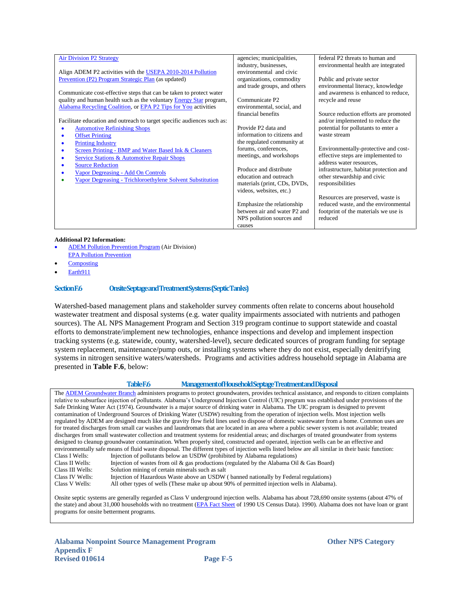| <b>Air Division P2 Strategy</b>                                         | agencies; municipalities,    | federal P2 threats to human and        |
|-------------------------------------------------------------------------|------------------------------|----------------------------------------|
|                                                                         | industry, businesses,        | environmental health are integrated    |
| Align ADEM P2 activities with the USEPA 2010-2014 Pollution             | environmental and civic      |                                        |
| Prevention (P2) Program Strategic Plan (as updated)                     | organizations, commodity     | Public and private sector              |
|                                                                         | and trade groups, and others | environmental literacy, knowledge      |
| Communicate cost-effective steps that can be taken to protect water     |                              | and awareness is enhanced to reduce,   |
| quality and human health such as the voluntary Energy Star program,     | Communicate P <sub>2</sub>   | recycle and reuse                      |
| Alabama Recycling Coalition, or EPA P2 Tips for You activities          | environmental, social, and   |                                        |
|                                                                         | financial benefits           | Source reduction efforts are promoted  |
| Facilitate education and outreach to target specific audiences such as: |                              | and/or implemented to reduce the       |
| <b>Automotive Refinishing Shops</b>                                     | Provide P2 data and          | potential for pollutants to enter a    |
| <b>Offset Printing</b>                                                  | information to citizens and  | waste stream                           |
| <b>Printing Industry</b><br>۰                                           | the regulated community at   |                                        |
| Screen Printing - BMP and Water Based Ink & Cleaners<br>۰               | forums, conferences,         | Environmentally-protective and cost-   |
| Service Stations & Automotive Repair Shops                              | meetings, and workshops      | effective steps are implemented to     |
| <b>Source Reduction</b><br>۰                                            |                              | address water resources,               |
| Vapor Degreasing - Add On Controls                                      | Produce and distribute       | infrastructure, habitat protection and |
| Vapor Degreasing - Trichloroethylene Solvent Substitution               | education and outreach       | other stewardship and civic            |
|                                                                         | materials (print, CDs, DVDs, | responsibilities                       |
|                                                                         | videos, websites, etc.)      |                                        |
|                                                                         |                              | Resources are preserved, waste is      |
|                                                                         | Emphasize the relationship   | reduced waste, and the environmental   |
|                                                                         | between air and water P2 and | footprint of the materials we use is   |
|                                                                         | NPS pollution sources and    | reduced                                |
|                                                                         | causes                       |                                        |

### **Additional P2 Information:**

- [ADEM Pollution Prevention Program](http://www.adem.alabama.gov/programs/air/pollutionPrevention.cnt) (Air Division) [EPA Pollution Prevention](http://www.epa.gov/p2/)
- 
- **[Composting](http://www.epa.gov/compost/)**
- [Earth911](http://earth911.com/)

### <span id="page-5-0"></span>**Section F.6 Onsite Septage and Treatment Systems (Septic Tanks)**

Watershed-based management plans and stakeholder survey comments often relate to concerns about household wastewater treatment and disposal systems (e.g. water quality impairments associated with nutrients and pathogen sources). The AL NPS Management Program and Section 319 program continue to support statewide and coastal efforts to demonstrate/implement new technologies, enhance inspections and develop and implement inspection tracking systems (e.g. statewide, county, watershed-level), secure dedicated sources of program funding for septage system replacement, maintenance/pump outs, or installing systems where they do not exist, especially denitrifying systems in nitrogen sensitive waters/watersheds. Programs and activities address household septage in Alabama are presented in **Table F.6**, below:

### **Table F.6 Management of Household Septage Treatment and Disposal**

<span id="page-5-1"></span>Th[e ADEM Groundwater Branch](http://www.adem.state.al.us/programs/water/groundwater.cnt) administers programs to protect groundwaters, provides technical assistance, and responds to citizen complaints relative to subsurface injection of pollutants. Alabama"s Underground Injection Control (UIC) program was established under provisions of the Safe Drinking Water Act (1974). Groundwater is a major source of drinking water in Alabama. The UIC program is designed to prevent contamination of Underground Sources of Drinking Water (USDW) resulting from the operation of injection wells. Most injection wells regulated by ADEM are designed much like the gravity flow field lines used to dispose of domestic wastewater from a home. Common uses are for treated discharges from small car washes and laundromats that are located in an area where a public sewer system is not available; treated discharges from small wastewater collection and treatment systems for residential areas; and discharges of treated groundwater from systems designed to cleanup groundwater contamination. When properly sited, constructed and operated, injection wells can be an effective and environmentally safe means of fluid waste disposal. The different types of injection wells listed below are all similar in their basic function:<br>Class I Wells: Injection of pollutants below an USDW (prohibited by Alabama r Injection of pollutants below an USDW (prohibited by Alabama regulations) Class II Wells: Injection of wastes from oil & gas productions (regulated by the Alabama Oil & Gas Board)<br>Class III Wells: Solution mining of certain minerals such as salt Solution mining of certain minerals such as salt Class IV Wells: Injection of Hazardous Waste above an USDW (banned nationally by Federal regulations)<br>Class V Wells: All other types of wells (These make up about 90% of permitted injection wells in Alabama All other types of wells (These make up about 90% of permitted injection wells in Alabama).

Onsite septic systems are generally regarded as Class V underground injection wells. Alabama has about 728,690 onsite systems (about 47% of the state) and about 31,000 households with no treatment [\(EPA Fact Sheet](http://water.epa.gov/infrastructure/wastewater/septic/census_tbl1.cfm) of 1990 US Census Data). 1990). Alabama does not have loan or grant programs for onsite betterment programs.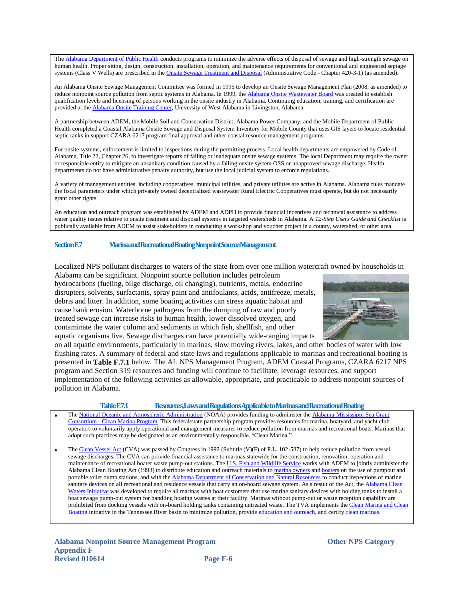Th[e Alabama Department of Public Health](http://www.adph.org/onsite/) conducts programs to minimize the adverse effects of disposal of sewage and high-strength sewage on human health. Proper siting, design, construction, installation, operation, and maintenance requirements for conventional and engineered septage systems (Class V Wells) are prescribed in th[e Onsite Sewage Treatment and Disposal](http://www.adph.org/onsite/assets/ProposedOnsiteRules2013.pdf) (Administrative Code - Chapter 420-3-1) (as amended).

An Alabama Onsite Sewage Management Committee was formed in 1995 to develop an Onsite Sewage Management Plan (2008, as amended) to reduce nonpoint source pollution from septic systems in Alabama. In 1999, th[e Alabama Onsite Wastewater Board](http://aowb.alabama.gov/) was created to establish qualification levels and licensing of persons working in the onsite industry in Alabama. Continuing education, training, and certification are provided at th[e Alabama Onsite Training Center,](http://aowatc.uwa.edu/) University of West Alabama in Livingston, Alabama.

A partnership between ADEM, the Mobile Soil and Conservation District, Alabama Power Company, and the Mobile Department of Public Health completed a Coastal Alabama Onsite Sewage and Disposal System Inventory for Mobile County that uses GIS layers to locate residential septic tanks in support CZARA 6217 program final approval and other coastal resource management programs.

For onsite systems, enforcement is limited to inspections during the permitting process. Local health departments are empowered by Code of Alabama, Title 22, Chapter 26, to investigate reports of failing or inadequate onsite sewage systems. The local Department may require the owner or responsible entity to mitigate an unsanitary condition caused by a failing onsite system OSS or unapproved sewage discharge. Health departments do not have administrative penalty authority, but use the local judicial system to enforce regulations.

A variety of management entities, including cooperatives, municipal utilities, and private utilities are active in Alabama. Alabama rules mandate the fiscal parameters under which privately owned decentralized wastewater Rural Electric Cooperatives must operate, but do not necessarily grant other rights.

An education and outreach program was established by ADEM and ADPH to provide financial incentives and technical assistance to address water quality issues relative to onsite treatment and disposal systems in targeted watersheds in Alabama. A *12-Step Users Guide and Checklist* is publically available from ADEM to assist stakeholders in conducting a workshop and voucher project in a county, watershed, or other area.

### <span id="page-6-0"></span>**Section F.7 Marina and Recreational Boating Nonpoint Source Management**

Localized NPS pollutant discharges to waters of the state from over one million watercraft owned by households in

Alabama can be significant. Nonpoint source pollution includes petroleum hydrocarbons (fueling, bilge discharge, oil changing), nutrients, metals, endocrine disrupters, solvents, surfactants, spray paint and antifoulants, acids, antifreeze, metals, debris and litter. In addition, some boating activities can stress aquatic habitat and cause bank erosion. Waterborne pathogens from the dumping of raw and poorly treated sewage can increase risks to human health, lower dissolved oxygen, and contaminate the water column and sediments in which fish, shellfish, and other aquatic organisms live. Sewage discharges can have potentially wide-ranging impacts



on all aquatic environments, particularly in marinas, slow moving rivers, lakes, and other bodies of water with low flushing rates. A summary of federal and state laws and regulations applicable to marinas and recreational boating is presented in **Table F.7.1** below. The AL NPS Management Program, ADEM Coastal Programs, CZARA 6217 NPS program and Section 319 resources and funding will continue to facilitate, leverage resources, and support implementation of the following activities as allowable, appropriate, and practicable to address nonpoint sources of pollution in Alabama.

### **Table F.7.1 Resources, Laws and Regulations Applicable to Marinas and Recreational Boating**

<span id="page-6-1"></span>Th[e National Oceanic and Atmospheric Administration](http://seagrant.noaa.gov/) (NOAA) provides funding to administer the Alabama-Mississippi Sea Grant Consortium - [Clean Marina Program.](http://masgc.org/clean-marina-program/about) This federal/state partnership program provides resources for marina, boatyard, and yacht club operators to voluntarily apply operational and management measures to reduce pollution from marinas and recreational boats. Marinas that adopt such practices may be designated as an environmentally-responsible, "Clean Marina."

Th[e Clean Vessel Act](http://www.fws.gov/laws/lawsdigest/clenves.html) (CVA) was passed by Congress in 1992 (Subtitle (V)(F) of P.L. 102-587) to help reduce pollution from vessel sewage discharges. The CVA can provide financial assistance to marinas statewide for the construction, renovation, operation and maintenance of recreational boater waste pump-out stations. Th[e U.S. Fish and Wildlife Service](http://www.fws.gov/southeast/federalaid/cleanvesselact.html) works with ADEM to jointly administer the Alabama Clean Boating Act (1993) to distribute education and outreach materials to [marina owners](http://adem.alabama.gov/programs/water/nps/take/MarinaST.pdf) and [boaters](http://adem.alabama.gov/programs/water/nps/take/BoatersST.pdf) on the use of pumpout and portable toilet dump stations, and with th[e Alabama Department of Conservation and Natural Resources](http://www.outdooralabama.com/boating/clean-waters/) to conduct inspections of marine sanitary devices on all recreational and residence vessels that carry an on-board sewage system. As a result of the Act, the Alabama Clean [Waters Initiative](http://www.outdooralabama.com/boating/clean-waters/) was developed to require all marinas with boat customers that use marine sanitary devices with holding tanks to install a boat sewage pump-out system for handling boating wastes at their facility. Marinas without pump-out or waste reception capability are prohibited from docking vessels with on-board holding tanks containing untreated waste. The TVA implements the Clean Marina and Clean [Boating](http://www.tva.gov/environment/water/boating.htm) initiative in the Tennessee River basin to minimize pollution, provid[e education and outreach,](http://www.tva.gov/environment/pdf/cleanmarina.pdf) and certify clean marinas.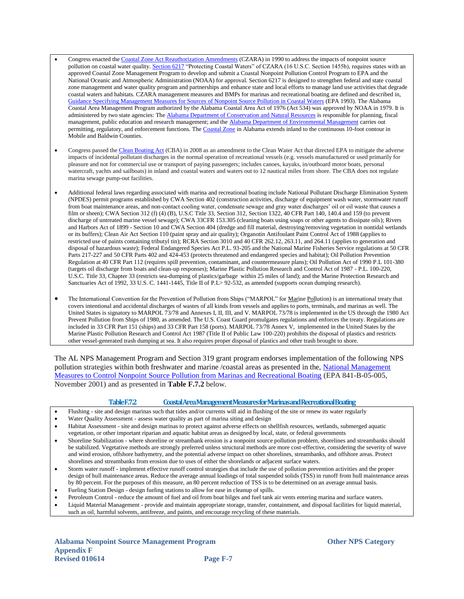- Congress enacted th[e Coastal Zone Act Reauthorization Amendments](http://www.epa.gov/owow/nps/czmact.html) (CZARA) in 1990 to address the impacts of nonpoint source pollution on coastal water quality. [Section 6217](http://water.epa.gov/polwaste/nps/czara.cfm) "Protecting Coastal Waters" of CZARA (16 U.S.C. Section 1455b), requires states with an approved Coastal Zone Management Program to develop and submit a Coastal Nonpoint Pollution Control Program to EPA and the National Oceanic and Atmospheric Administration (NOAA) for approval. Section 6217 is designed to strengthen federal and state coastal zone management and water quality program and partnerships and enhance state and local efforts to manage land use activities that degrade coastal waters and habitats. CZARA management measures and BMPs for marinas and recreational boating are defined and described in, [Guidance Specifying Management Measures for Sources of Nonpoint Source Pollution in Coastal Waters](http://water.epa.gov/polwaste/nps/czara/index.cfm) (EPA 1993). The Alabama Coastal Area Management Program authorized by the Alabama Coastal Area Act of 1976 (Act 534) was approved by NOAA in 1979. It is administered by two state agencies: Th[e Alabama Department of Conservation and Natural Resources](http://oceanservice.noaa.gov/cgi-bin/redirout.cgi?url=http://www.outdooralabama.com/public-lands/stateLands/landsCoastal/) is responsible for planning, fiscal management, public education and research management; and th[e Alabama Department of Environmental Management](http://oceanservice.noaa.gov/cgi-bin/redirout.cgi?url=http://adem.alabama.gov/programs/coastal/default.cnt) carries out permitting, regulatory, and enforcement functions. The [Coastal Zone](http://coastalmanagement.noaa.gov/mystate/docs/StateCZBoundaries.pdf) in Alabama extends inland to the continuous 10-foot contour in Mobile and Baldwin Counties.
- Congress passed the [Clean Boating Act](http://water.epa.gov/lawsregs/lawsguidance/cwa/vessel/CBA/index.cfm) (CBA) in 2008 as an amendment to the Clean Water Act that directed EPA to mitigate the adverse impacts of incidental pollutant discharges in the normal operation of recreational vessels (e.g. vessels manufactured or used primarily for pleasure and not for commercial use or transport of paying passengers; includes canoes, kayaks, in/outboard motor boats, personal watercraft, yachts and sailboats) in inland and coastal waters and waters out to 12 nautical miles from shore. The CBA does not regulate marina sewage pump-out facilities.
- Additional federal laws regarding associated with marina and recreational boating include National Pollutant Discharge Elimination System (NPDES) permit programs established by CWA Section 402 (construction activities, discharge of equipment wash water, stormwater runoff from boat maintenance areas, and non-contact cooling water, condensate sewage and gray water discharges" oil or oil waste that causes a film or sheen); CWA Section 312 (f) (4) (B), U.S.C Title 33, Section 312, Section 1322, 40 CFR Part 140, 140.4 and 159 (to prevent discharge of untreated marine vessel sewage); CWA 33CFR 153.305 (cleaning boats using soaps or other agents to dissipate oils); Rivers and Harbors Act of 1899 - Section 10 and CWA Section 404 (dredge and fill material, destroying/removing vegetation in nontidal wetlands or its buffers); Clean Air Act Section 110 (paint spray and air quality); Organotin Antifoulant Paint Control Act of 1988 (applies to restricted use of paints containing tributyl tin); RCRA Section 3010 and 40 CFR 262.12, 263.11, and 264.11 (applies to generation and disposal of hazardous waste); Federal Endangered Species Act P.L. 93-205 and the National Marine Fisheries Service regulations at 50 CFR Parts 217-227 and 50 CFR Parts 402 and 424-453 (protects threatened and endangered species and habitat); Oil Pollution Prevention Regulation at 40 CFR Part 112 (requires spill prevention, contaminant, and countermeasure plans); Oil Pollution Act of 1990 P.L 101-380 (targets oil discharge from boats and clean-up responses); Marine Plastic Pollution Research and Control Act of 1987 - P.L. 100-220, U.S.C. Title 33, Chapter 33 (restricts sea-dumping of plastics/garbage within 25 miles of land); and the Marine Protection Research and Sanctuaries Act of 1992, 33 U.S. C. 1441-1445, Title II of P.L> 92-532, as amended (supports ocean dumping research).
- The International Convention for the Prevention of Pollution from Ships ("MARPOL" for Marine Pollution) is an international treaty that covers intentional and accidental discharges of wastes of all kinds from vessels and applies to ports, terminals, and marinas as well. The United States is signatory to MARPOL 73/78 and Annexes I, II, III, and V. MARPOL 73/78 is implemented in the US through the 1980 Act Prevent Pollution from Ships of 1980, as amended. The U.S. Coast Guard promulgates regulations and enforces the treaty. Regulations are included in 33 CFR Part 151 (ships) and 33 CFR Part 158 (ports). MARPOL 73/78 Annex V, implemented in the United States by the Marine Plastic Pollution Research and Control Act 1987 (Title II of Public Law 100-220) prohibits the disposal of plastics and restricts other vessel-generated trash dumping at sea. It also requires proper disposal of plastics and other trash brought to shore.

The AL NPS Management Program and Section 319 grant program endorses implementation of the following NPS pollution strategies within both freshwater and marine /coastal areas as presented in the, [National Management](file:///F:\Xcopy%202013%20-%20Alabama%20Management%20Program%20Update\National%20Management%20Measures%20to%20Control%20Nonpoint%20Source%20Pollution%20from%20Marinas%20and%20Recreational%20Boating)  Measures to [Control Nonpoint Source Pollution from Marinas and Recreational Boating](file:///F:\Xcopy%202013%20-%20Alabama%20Management%20Program%20Update\National%20Management%20Measures%20to%20Control%20Nonpoint%20Source%20Pollution%20from%20Marinas%20and%20Recreational%20Boating) (EPA 841-B-05-005, November 2001) and as presented in **Table F.7.2** below.

### **Table F.7.2 Coastal Area Management Measures for Marinas and Recreational Boating**

- <span id="page-7-0"></span>Flushing - site and design marinas such that tides and/or currents will aid in flushing of the site or renew its water regularly
- Water Quality Assessment assess water quality as part of marina siting and design
- Habitat Assessment site and design marinas to protect against adverse effects on shellfish resources, wetlands, submerged aquatic vegetation, or other important riparian and aquatic habitat areas as designed by local, state, or federal governments
- Shoreline Stabilization where shoreline or streambank erosion is a nonpoint source pollution problem, shorelines and streambanks should be stabilized. Vegetative methods are strongly preferred unless structural methods are more cost-effective, considering the severity of wave and wind erosion, offshore bathymetry, and the potential adverse impact on other shorelines, streambanks, and offshore areas. Protect shorelines and streambanks from erosion due to uses of either the shorelands or adjacent surface waters.
- Storm water runoff implement effective runoff control strategies that include the use of pollution prevention activities and the proper design of hull maintenance areas. Reduce the average annual loadings of total suspended solids (TSS) in runoff from hull maintenance areas by 80 percent. For the purposes of this measure, an 80 percent reduction of TSS is to be determined on an average annual basis.
- Fueling Station Design design fueling stations to allow for ease in cleanup of spills.
- Petroleum Control reduce the amount of fuel and oil from boat bilges and fuel tank air vents entering marina and surface waters.
- Liquid Material Management provide and maintain appropriate storage, transfer, containment, and disposal facilities for liquid material, such as oil, harmful solvents, antifreeze, and paints, and encourage recycling of these materials.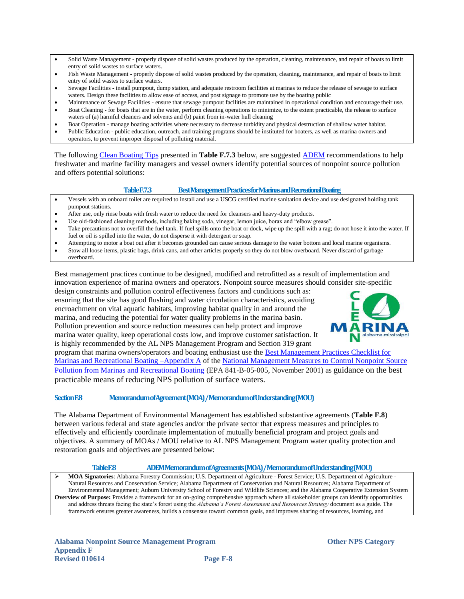- Solid Waste Management properly dispose of solid wastes produced by the operation, cleaning, maintenance, and repair of boats to limit entry of solid wastes to surface waters.
- Fish Waste Management properly dispose of solid wastes produced by the operation, cleaning, maintenance, and repair of boats to limit entry of solid wastes to surface waters.
- Sewage Facilities install pumpout, dump station, and adequate restroom facilities at marinas to reduce the release of sewage to surface waters. Design these facilities to allow ease of access, and post signage to promote use by the boating public
- Maintenance of Sewage Facilities ensure that sewage pumpout facilities are maintained in operational condition and encourage their use.
- Boat Cleaning for boats that are in the water, perform cleaning operations to minimize, to the extent practicable, the release to surface waters of (a) harmful cleaners and solvents and (b) paint from in-water hull cleaning
- Boat Operation manage boating activities where necessary to decrease turbidity and physical destruction of shallow water habitat.
- Public Education public education, outreach, and training programs should be instituted for boaters, as well as marina owners and operators, to prevent improper disposal of polluting material.

The following [Clean Boating Tips](http://adem.alabama.gov/programs/water/nps/take/boatingtips.cnt) presented in **Table F.7.3** below, are suggested [ADEM](http://adem.alabama.gov/default.cnt) recommendations to help freshwater and marine facility managers and vessel owners identify potential sources of nonpoint source pollution and offers potential solutions:

### **Table F.7.3 Best Management Practices for Marinas and Recreational Boating**

- <span id="page-8-0"></span> Vessels with an onboard toilet are required to install and use a USCG certified marine sanitation device and use designated holding tank pumpout stations.
- After use, only rinse boats with fresh water to reduce the need for cleansers and heavy-duty products.
- Use old-fashioned cleaning methods, including baking soda, vinegar, lemon juice, borax and "elbow grease".
- Take precautions not to overfill the fuel tank. If fuel spills onto the boat or dock, wipe up the spill with a rag; do not hose it into the water. If fuel or oil is spilled into the water, do not disperse it with detergent or soap.
- Attempting to motor a boat out after it becomes grounded can cause serious damage to the water bottom and local marine organisms.
- Stow all loose items, plastic bags, drink cans, and other articles properly so they do not blow overboard. Never discard of garbage overboard.

Best management practices continue to be designed, modified and retrofitted as a result of implementation and innovation experience of marina owners and operators. Nonpoint source measures should consider site-specific

design constraints and pollution control effectiveness factors and conditions such as: ensuring that the site has good flushing and water circulation characteristics, avoiding encroachment on vital aquatic habitats, improving habitat quality in and around the marina, and reducing the potential for water quality problems in the marina basin. Pollution prevention and source reduction measures can help protect and improve marina water quality, keep operational costs low, and improve customer satisfaction. It is highly recommended by the AL NPS Management Program and Section 319 grant



program that marina owners/operators and boating enthusiast use the [Best Management Practices Checklist for](http://www.epa.gov/owow/nps/mmsp/appendices.pdf)  [Marinas and Recreational Boating](http://www.epa.gov/owow/nps/mmsp/appendices.pdf) –Appendix A of the [National Management Measures to Control Nonpoint Source](file:///F:\Xcopy%202013%20-%20Alabama%20Management%20Program%20Update\National%20Management%20Measures%20to%20Control%20Nonpoint%20Source%20Pollution%20from%20Marinas%20and%20Recreational%20Boating)  [Pollution from Marinas and Recreational Boating](file:///F:\Xcopy%202013%20-%20Alabama%20Management%20Program%20Update\National%20Management%20Measures%20to%20Control%20Nonpoint%20Source%20Pollution%20from%20Marinas%20and%20Recreational%20Boating) (EPA 841-B-05-005, November 2001) as guidance on the best practicable means of reducing NPS pollution of surface waters.

### <span id="page-8-1"></span>**Section F.8 Memorandum of Agreement (MOA) / Memorandum of Understanding (MOU)**

The Alabama Department of Environmental Management has established substantive agreements (**Table F.8**) between various federal and state agencies and/or the private sector that express measures and principles to effectively and efficiently coordinate implementation of mutually beneficial program and project goals and objectives. A summary of MOAs / MOU relative to AL NPS Management Program water quality protection and restoration goals and objectives are presented below:

### **Table F.8 ADEM Memorandum of Agreements (MOA) / Memorandum of Understanding (MOU)**

<span id="page-8-2"></span> **MOA Signatories**: Alabama Forestry Commission; U.S. Department of Agriculture - Forest Service; U.S. Department of Agriculture - Natural Resources and Conservation Service; Alabama Department of Conservation and Natural Resources; Alabama Department of Environmental Management; Auburn University School of Forestry and Wildlife Sciences; and the Alabama Cooperative Extension System **Overview of Purpose:** Provides a framework for an on-going comprehensive approach where all stakeholder groups can identify opportunities and address threats facing the state"s forest using the *Alabama's Forest Assessment and Resources Strategy* document as a guide. The framework ensures greater awareness, builds a consensus toward common goals, and improves sharing of resources, learning, and